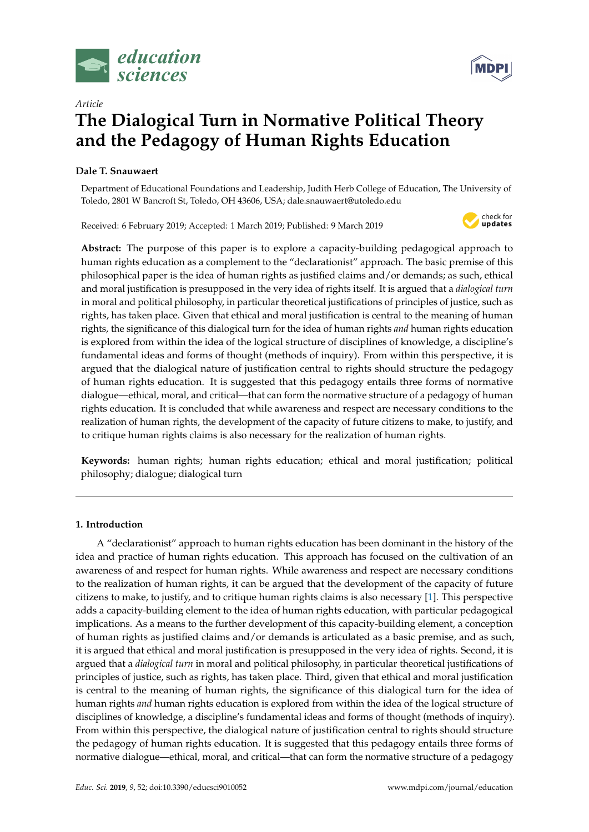



# *Article* **The Dialogical Turn in Normative Political Theory and the Pedagogy of Human Rights Education**

# **Dale T. Snauwaert**

Department of Educational Foundations and Leadership, Judith Herb College of Education, The University of Toledo, 2801 W Bancroft St, Toledo, OH 43606, USA; dale.snauwaert@utoledo.edu

Received: 6 February 2019; Accepted: 1 March 2019; Published: 9 March 2019



**Abstract:** The purpose of this paper is to explore a capacity-building pedagogical approach to human rights education as a complement to the "declarationist" approach. The basic premise of this philosophical paper is the idea of human rights as justified claims and/or demands; as such, ethical and moral justification is presupposed in the very idea of rights itself. It is argued that a *dialogical turn* in moral and political philosophy, in particular theoretical justifications of principles of justice, such as rights, has taken place. Given that ethical and moral justification is central to the meaning of human rights, the significance of this dialogical turn for the idea of human rights *and* human rights education is explored from within the idea of the logical structure of disciplines of knowledge, a discipline's fundamental ideas and forms of thought (methods of inquiry). From within this perspective, it is argued that the dialogical nature of justification central to rights should structure the pedagogy of human rights education. It is suggested that this pedagogy entails three forms of normative dialogue—ethical, moral, and critical—that can form the normative structure of a pedagogy of human rights education. It is concluded that while awareness and respect are necessary conditions to the realization of human rights, the development of the capacity of future citizens to make, to justify, and to critique human rights claims is also necessary for the realization of human rights.

**Keywords:** human rights; human rights education; ethical and moral justification; political philosophy; dialogue; dialogical turn

# **1. Introduction**

A "declarationist" approach to human rights education has been dominant in the history of the idea and practice of human rights education. This approach has focused on the cultivation of an awareness of and respect for human rights. While awareness and respect are necessary conditions to the realization of human rights, it can be argued that the development of the capacity of future citizens to make, to justify, and to critique human rights claims is also necessary [\[1\]](#page-5-0). This perspective adds a capacity-building element to the idea of human rights education, with particular pedagogical implications. As a means to the further development of this capacity-building element, a conception of human rights as justified claims and/or demands is articulated as a basic premise, and as such, it is argued that ethical and moral justification is presupposed in the very idea of rights. Second, it is argued that a *dialogical turn* in moral and political philosophy, in particular theoretical justifications of principles of justice, such as rights, has taken place. Third, given that ethical and moral justification is central to the meaning of human rights, the significance of this dialogical turn for the idea of human rights *and* human rights education is explored from within the idea of the logical structure of disciplines of knowledge, a discipline's fundamental ideas and forms of thought (methods of inquiry). From within this perspective, the dialogical nature of justification central to rights should structure the pedagogy of human rights education. It is suggested that this pedagogy entails three forms of normative dialogue—ethical, moral, and critical—that can form the normative structure of a pedagogy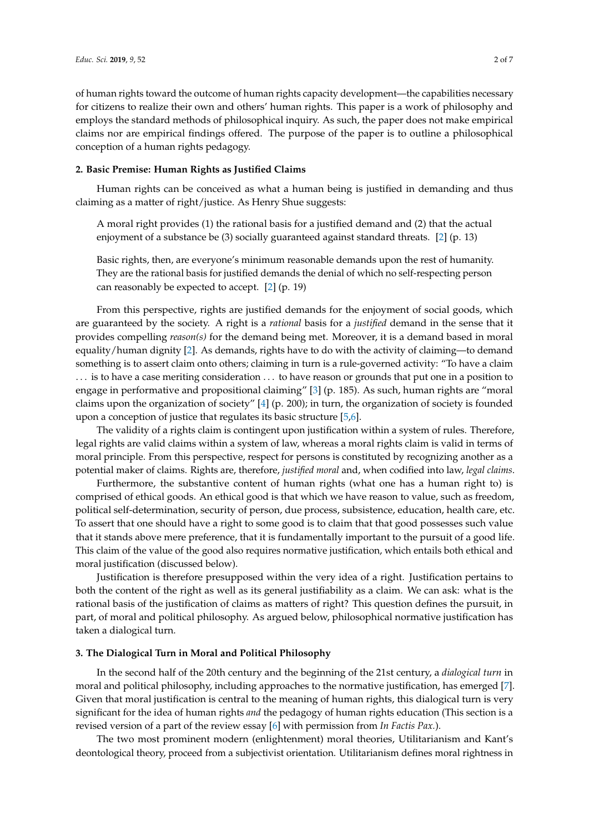of human rights toward the outcome of human rights capacity development—the capabilities necessary for citizens to realize their own and others' human rights. This paper is a work of philosophy and employs the standard methods of philosophical inquiry. As such, the paper does not make empirical claims nor are empirical findings offered. The purpose of the paper is to outline a philosophical conception of a human rights pedagogy.

## **2. Basic Premise: Human Rights as Justified Claims**

Human rights can be conceived as what a human being is justified in demanding and thus claiming as a matter of right/justice. As Henry Shue suggests:

A moral right provides (1) the rational basis for a justified demand and (2) that the actual enjoyment of a substance be (3) socially guaranteed against standard threats. [\[2\]](#page-5-1) (p. 13)

Basic rights, then, are everyone's minimum reasonable demands upon the rest of humanity. They are the rational basis for justified demands the denial of which no self-respecting person can reasonably be expected to accept. [\[2\]](#page-5-1) (p. 19)

From this perspective, rights are justified demands for the enjoyment of social goods, which are guaranteed by the society. A right is a *rational* basis for a *justified* demand in the sense that it provides compelling *reason(s)* for the demand being met. Moreover, it is a demand based in moral equality/human dignity [\[2\]](#page-5-1). As demands, rights have to do with the activity of claiming—to demand something is to assert claim onto others; claiming in turn is a rule-governed activity: "To have a claim . . . is to have a case meriting consideration . . . to have reason or grounds that put one in a position to engage in performative and propositional claiming" [\[3\]](#page-5-2) (p. 185). As such, human rights are "moral claims upon the organization of society" [\[4\]](#page-5-3) (p. 200); in turn, the organization of society is founded upon a conception of justice that regulates its basic structure [\[5](#page-5-4)[,6\]](#page-5-5).

The validity of a rights claim is contingent upon justification within a system of rules. Therefore, legal rights are valid claims within a system of law, whereas a moral rights claim is valid in terms of moral principle. From this perspective, respect for persons is constituted by recognizing another as a potential maker of claims. Rights are, therefore, *justified moral* and, when codified into law, *legal claims*.

Furthermore, the substantive content of human rights (what one has a human right to) is comprised of ethical goods. An ethical good is that which we have reason to value, such as freedom, political self-determination, security of person, due process, subsistence, education, health care, etc. To assert that one should have a right to some good is to claim that that good possesses such value that it stands above mere preference, that it is fundamentally important to the pursuit of a good life. This claim of the value of the good also requires normative justification, which entails both ethical and moral justification (discussed below).

Justification is therefore presupposed within the very idea of a right. Justification pertains to both the content of the right as well as its general justifiability as a claim. We can ask: what is the rational basis of the justification of claims as matters of right? This question defines the pursuit, in part, of moral and political philosophy. As argued below, philosophical normative justification has taken a dialogical turn.

## **3. The Dialogical Turn in Moral and Political Philosophy**

In the second half of the 20th century and the beginning of the 21st century, a *dialogical turn* in moral and political philosophy, including approaches to the normative justification, has emerged [\[7\]](#page-5-6). Given that moral justification is central to the meaning of human rights, this dialogical turn is very significant for the idea of human rights *and* the pedagogy of human rights education (This section is a revised version of a part of the review essay [\[6\]](#page-5-5) with permission from *In Factis Pax.*).

The two most prominent modern (enlightenment) moral theories, Utilitarianism and Kant's deontological theory, proceed from a subjectivist orientation. Utilitarianism defines moral rightness in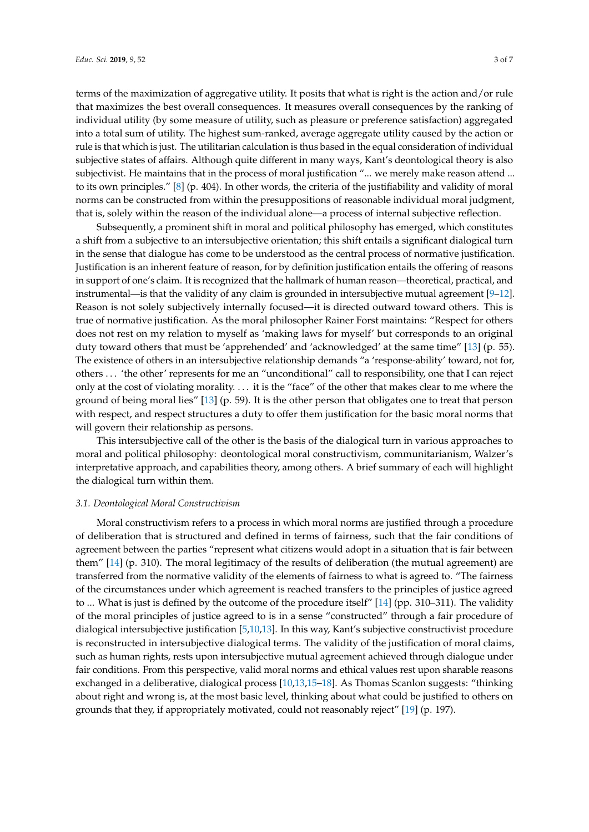terms of the maximization of aggregative utility. It posits that what is right is the action and/or rule that maximizes the best overall consequences. It measures overall consequences by the ranking of individual utility (by some measure of utility, such as pleasure or preference satisfaction) aggregated into a total sum of utility. The highest sum-ranked, average aggregate utility caused by the action or rule is that which is just. The utilitarian calculation is thus based in the equal consideration of individual subjective states of affairs. Although quite different in many ways, Kant's deontological theory is also subjectivist. He maintains that in the process of moral justification "... we merely make reason attend ... to its own principles." [\[8\]](#page-5-7) (p. 404). In other words, the criteria of the justifiability and validity of moral norms can be constructed from within the presuppositions of reasonable individual moral judgment, that is, solely within the reason of the individual alone—a process of internal subjective reflection.

Subsequently, a prominent shift in moral and political philosophy has emerged, which constitutes a shift from a subjective to an intersubjective orientation; this shift entails a significant dialogical turn in the sense that dialogue has come to be understood as the central process of normative justification. Justification is an inherent feature of reason, for by definition justification entails the offering of reasons in support of one's claim. It is recognized that the hallmark of human reason—theoretical, practical, and instrumental—is that the validity of any claim is grounded in intersubjective mutual agreement [\[9–](#page-5-8)[12\]](#page-6-0). Reason is not solely subjectively internally focused—it is directed outward toward others. This is true of normative justification. As the moral philosopher Rainer Forst maintains: "Respect for others does not rest on my relation to myself as 'making laws for myself' but corresponds to an original duty toward others that must be 'apprehended' and 'acknowledged' at the same time" [\[13\]](#page-6-1) (p. 55). The existence of others in an intersubjective relationship demands "a 'response-ability' toward, not for, others . . . 'the other' represents for me an "unconditional" call to responsibility, one that I can reject only at the cost of violating morality. . . . it is the "face" of the other that makes clear to me where the ground of being moral lies" [\[13\]](#page-6-1) (p. 59). It is the other person that obligates one to treat that person with respect, and respect structures a duty to offer them justification for the basic moral norms that will govern their relationship as persons.

This intersubjective call of the other is the basis of the dialogical turn in various approaches to moral and political philosophy: deontological moral constructivism, communitarianism, Walzer's interpretative approach, and capabilities theory, among others. A brief summary of each will highlight the dialogical turn within them.

## *3.1. Deontological Moral Constructivism*

Moral constructivism refers to a process in which moral norms are justified through a procedure of deliberation that is structured and defined in terms of fairness, such that the fair conditions of agreement between the parties "represent what citizens would adopt in a situation that is fair between them" [\[14\]](#page-6-2) (p. 310). The moral legitimacy of the results of deliberation (the mutual agreement) are transferred from the normative validity of the elements of fairness to what is agreed to. "The fairness of the circumstances under which agreement is reached transfers to the principles of justice agreed to ... What is just is defined by the outcome of the procedure itself" [\[14\]](#page-6-2) (pp. 310–311). The validity of the moral principles of justice agreed to is in a sense "constructed" through a fair procedure of dialogical intersubjective justification [\[5](#page-5-4)[,10](#page-5-9)[,13\]](#page-6-1). In this way, Kant's subjective constructivist procedure is reconstructed in intersubjective dialogical terms. The validity of the justification of moral claims, such as human rights, rests upon intersubjective mutual agreement achieved through dialogue under fair conditions. From this perspective, valid moral norms and ethical values rest upon sharable reasons exchanged in a deliberative, dialogical process [\[10,](#page-5-9)[13,](#page-6-1)[15](#page-6-3)[–18\]](#page-6-4). As Thomas Scanlon suggests: "thinking about right and wrong is, at the most basic level, thinking about what could be justified to others on grounds that they, if appropriately motivated, could not reasonably reject" [\[19\]](#page-6-5) (p. 197).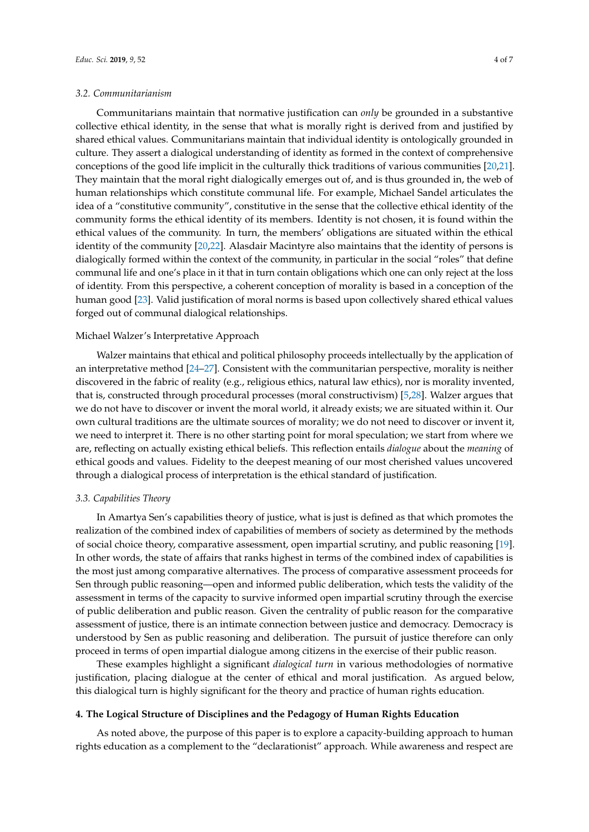Communitarians maintain that normative justification can *only* be grounded in a substantive collective ethical identity, in the sense that what is morally right is derived from and justified by shared ethical values. Communitarians maintain that individual identity is ontologically grounded in culture. They assert a dialogical understanding of identity as formed in the context of comprehensive conceptions of the good life implicit in the culturally thick traditions of various communities [\[20,](#page-6-6)[21\]](#page-6-7). They maintain that the moral right dialogically emerges out of, and is thus grounded in, the web of human relationships which constitute communal life. For example, Michael Sandel articulates the idea of a "constitutive community", constitutive in the sense that the collective ethical identity of the community forms the ethical identity of its members. Identity is not chosen, it is found within the ethical values of the community. In turn, the members' obligations are situated within the ethical identity of the community [\[20,](#page-6-6)[22\]](#page-6-8). Alasdair Macintyre also maintains that the identity of persons is dialogically formed within the context of the community, in particular in the social "roles" that define communal life and one's place in it that in turn contain obligations which one can only reject at the loss of identity. From this perspective, a coherent conception of morality is based in a conception of the human good [\[23\]](#page-6-9). Valid justification of moral norms is based upon collectively shared ethical values forged out of communal dialogical relationships.

#### Michael Walzer's Interpretative Approach

Walzer maintains that ethical and political philosophy proceeds intellectually by the application of an interpretative method [\[24](#page-6-10)[–27\]](#page-6-11). Consistent with the communitarian perspective, morality is neither discovered in the fabric of reality (e.g., religious ethics, natural law ethics), nor is morality invented, that is, constructed through procedural processes (moral constructivism) [\[5](#page-5-4)[,28\]](#page-6-12). Walzer argues that we do not have to discover or invent the moral world, it already exists; we are situated within it. Our own cultural traditions are the ultimate sources of morality; we do not need to discover or invent it, we need to interpret it. There is no other starting point for moral speculation; we start from where we are, reflecting on actually existing ethical beliefs. This reflection entails *dialogue* about the *meaning* of ethical goods and values. Fidelity to the deepest meaning of our most cherished values uncovered through a dialogical process of interpretation is the ethical standard of justification.

#### *3.3. Capabilities Theory*

In Amartya Sen's capabilities theory of justice, what is just is defined as that which promotes the realization of the combined index of capabilities of members of society as determined by the methods of social choice theory, comparative assessment, open impartial scrutiny, and public reasoning [\[19\]](#page-6-5). In other words, the state of affairs that ranks highest in terms of the combined index of capabilities is the most just among comparative alternatives. The process of comparative assessment proceeds for Sen through public reasoning—open and informed public deliberation, which tests the validity of the assessment in terms of the capacity to survive informed open impartial scrutiny through the exercise of public deliberation and public reason. Given the centrality of public reason for the comparative assessment of justice, there is an intimate connection between justice and democracy. Democracy is understood by Sen as public reasoning and deliberation. The pursuit of justice therefore can only proceed in terms of open impartial dialogue among citizens in the exercise of their public reason.

These examples highlight a significant *dialogical turn* in various methodologies of normative justification, placing dialogue at the center of ethical and moral justification. As argued below, this dialogical turn is highly significant for the theory and practice of human rights education.

# **4. The Logical Structure of Disciplines and the Pedagogy of Human Rights Education**

As noted above, the purpose of this paper is to explore a capacity-building approach to human rights education as a complement to the "declarationist" approach. While awareness and respect are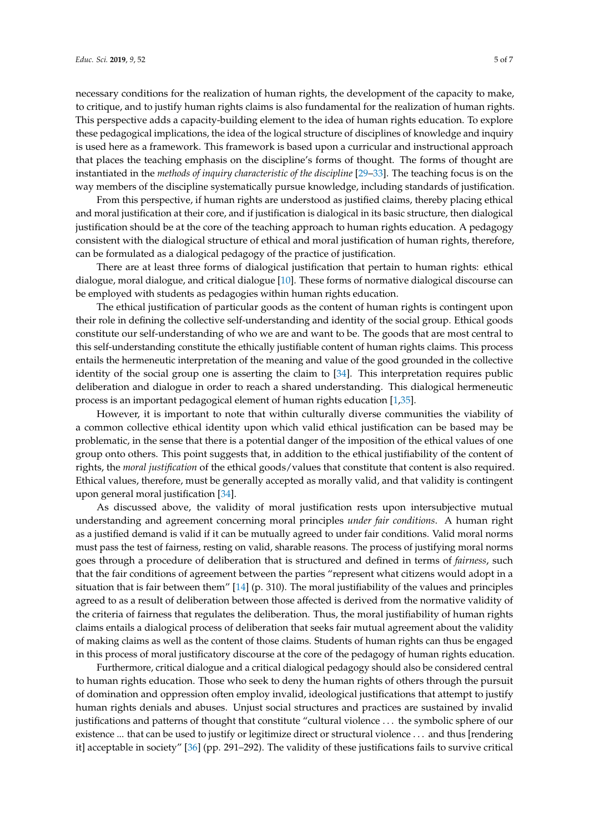necessary conditions for the realization of human rights, the development of the capacity to make, to critique, and to justify human rights claims is also fundamental for the realization of human rights. This perspective adds a capacity-building element to the idea of human rights education. To explore these pedagogical implications, the idea of the logical structure of disciplines of knowledge and inquiry is used here as a framework. This framework is based upon a curricular and instructional approach that places the teaching emphasis on the discipline's forms of thought. The forms of thought are instantiated in the *methods of inquiry characteristic of the discipline* [\[29](#page-6-13)[–33\]](#page-6-14). The teaching focus is on the way members of the discipline systematically pursue knowledge, including standards of justification.

From this perspective, if human rights are understood as justified claims, thereby placing ethical and moral justification at their core, and if justification is dialogical in its basic structure, then dialogical justification should be at the core of the teaching approach to human rights education. A pedagogy consistent with the dialogical structure of ethical and moral justification of human rights, therefore, can be formulated as a dialogical pedagogy of the practice of justification.

There are at least three forms of dialogical justification that pertain to human rights: ethical dialogue, moral dialogue, and critical dialogue [\[10\]](#page-5-9). These forms of normative dialogical discourse can be employed with students as pedagogies within human rights education.

The ethical justification of particular goods as the content of human rights is contingent upon their role in defining the collective self-understanding and identity of the social group. Ethical goods constitute our self-understanding of who we are and want to be. The goods that are most central to this self-understanding constitute the ethically justifiable content of human rights claims. This process entails the hermeneutic interpretation of the meaning and value of the good grounded in the collective identity of the social group one is asserting the claim to [\[34\]](#page-6-15). This interpretation requires public deliberation and dialogue in order to reach a shared understanding. This dialogical hermeneutic process is an important pedagogical element of human rights education [\[1,](#page-5-0)[35\]](#page-6-16).

However, it is important to note that within culturally diverse communities the viability of a common collective ethical identity upon which valid ethical justification can be based may be problematic, in the sense that there is a potential danger of the imposition of the ethical values of one group onto others. This point suggests that, in addition to the ethical justifiability of the content of rights, the *moral justification* of the ethical goods/values that constitute that content is also required. Ethical values, therefore, must be generally accepted as morally valid, and that validity is contingent upon general moral justification [\[34\]](#page-6-15).

As discussed above, the validity of moral justification rests upon intersubjective mutual understanding and agreement concerning moral principles *under fair conditions*. A human right as a justified demand is valid if it can be mutually agreed to under fair conditions. Valid moral norms must pass the test of fairness, resting on valid, sharable reasons. The process of justifying moral norms goes through a procedure of deliberation that is structured and defined in terms of *fairness*, such that the fair conditions of agreement between the parties "represent what citizens would adopt in a situation that is fair between them"  $[14]$  (p. 310). The moral justifiability of the values and principles agreed to as a result of deliberation between those affected is derived from the normative validity of the criteria of fairness that regulates the deliberation. Thus, the moral justifiability of human rights claims entails a dialogical process of deliberation that seeks fair mutual agreement about the validity of making claims as well as the content of those claims. Students of human rights can thus be engaged in this process of moral justificatory discourse at the core of the pedagogy of human rights education.

Furthermore, critical dialogue and a critical dialogical pedagogy should also be considered central to human rights education. Those who seek to deny the human rights of others through the pursuit of domination and oppression often employ invalid, ideological justifications that attempt to justify human rights denials and abuses. Unjust social structures and practices are sustained by invalid justifications and patterns of thought that constitute "cultural violence ... the symbolic sphere of our existence ... that can be used to justify or legitimize direct or structural violence . . . and thus [rendering it] acceptable in society" [\[36\]](#page-6-17) (pp. 291–292). The validity of these justifications fails to survive critical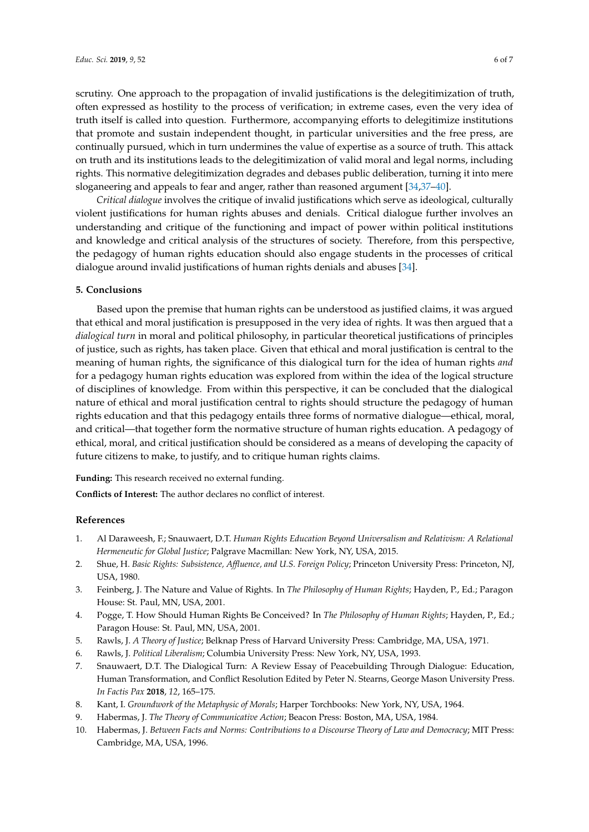scrutiny. One approach to the propagation of invalid justifications is the delegitimization of truth, often expressed as hostility to the process of verification; in extreme cases, even the very idea of truth itself is called into question. Furthermore, accompanying efforts to delegitimize institutions that promote and sustain independent thought, in particular universities and the free press, are continually pursued, which in turn undermines the value of expertise as a source of truth. This attack on truth and its institutions leads to the delegitimization of valid moral and legal norms, including rights. This normative delegitimization degrades and debases public deliberation, turning it into mere sloganeering and appeals to fear and anger, rather than reasoned argument [\[34,](#page-6-15)[37–](#page-6-18)[40\]](#page-6-19).

*Critical dialogue* involves the critique of invalid justifications which serve as ideological, culturally violent justifications for human rights abuses and denials. Critical dialogue further involves an understanding and critique of the functioning and impact of power within political institutions and knowledge and critical analysis of the structures of society. Therefore, from this perspective, the pedagogy of human rights education should also engage students in the processes of critical dialogue around invalid justifications of human rights denials and abuses [\[34\]](#page-6-15).

## **5. Conclusions**

Based upon the premise that human rights can be understood as justified claims, it was argued that ethical and moral justification is presupposed in the very idea of rights. It was then argued that a *dialogical turn* in moral and political philosophy, in particular theoretical justifications of principles of justice, such as rights, has taken place. Given that ethical and moral justification is central to the meaning of human rights, the significance of this dialogical turn for the idea of human rights *and* for a pedagogy human rights education was explored from within the idea of the logical structure of disciplines of knowledge. From within this perspective, it can be concluded that the dialogical nature of ethical and moral justification central to rights should structure the pedagogy of human rights education and that this pedagogy entails three forms of normative dialogue—ethical, moral, and critical—that together form the normative structure of human rights education. A pedagogy of ethical, moral, and critical justification should be considered as a means of developing the capacity of future citizens to make, to justify, and to critique human rights claims.

**Funding:** This research received no external funding.

**Conflicts of Interest:** The author declares no conflict of interest.

#### **References**

- <span id="page-5-0"></span>1. Al Daraweesh, F.; Snauwaert, D.T. *Human Rights Education Beyond Universalism and Relativism: A Relational Hermeneutic for Global Justice*; Palgrave Macmillan: New York, NY, USA, 2015.
- <span id="page-5-1"></span>2. Shue, H. *Basic Rights: Subsistence, Affluence, and U.S. Foreign Policy*; Princeton University Press: Princeton, NJ, USA, 1980.
- <span id="page-5-2"></span>3. Feinberg, J. The Nature and Value of Rights. In *The Philosophy of Human Rights*; Hayden, P., Ed.; Paragon House: St. Paul, MN, USA, 2001.
- <span id="page-5-3"></span>4. Pogge, T. How Should Human Rights Be Conceived? In *The Philosophy of Human Rights*; Hayden, P., Ed.; Paragon House: St. Paul, MN, USA, 2001.
- <span id="page-5-4"></span>5. Rawls, J. *A Theory of Justice*; Belknap Press of Harvard University Press: Cambridge, MA, USA, 1971.
- <span id="page-5-5"></span>6. Rawls, J. *Political Liberalism*; Columbia University Press: New York, NY, USA, 1993.
- <span id="page-5-6"></span>7. Snauwaert, D.T. The Dialogical Turn: A Review Essay of Peacebuilding Through Dialogue: Education, Human Transformation, and Conflict Resolution Edited by Peter N. Stearns, George Mason University Press. *In Factis Pax* **2018**, *12*, 165–175.
- <span id="page-5-7"></span>8. Kant, I. *Groundwork of the Metaphysic of Morals*; Harper Torchbooks: New York, NY, USA, 1964.
- <span id="page-5-8"></span>9. Habermas, J. *The Theory of Communicative Action*; Beacon Press: Boston, MA, USA, 1984.
- <span id="page-5-9"></span>10. Habermas, J. *Between Facts and Norms: Contributions to a Discourse Theory of Law and Democracy*; MIT Press: Cambridge, MA, USA, 1996.